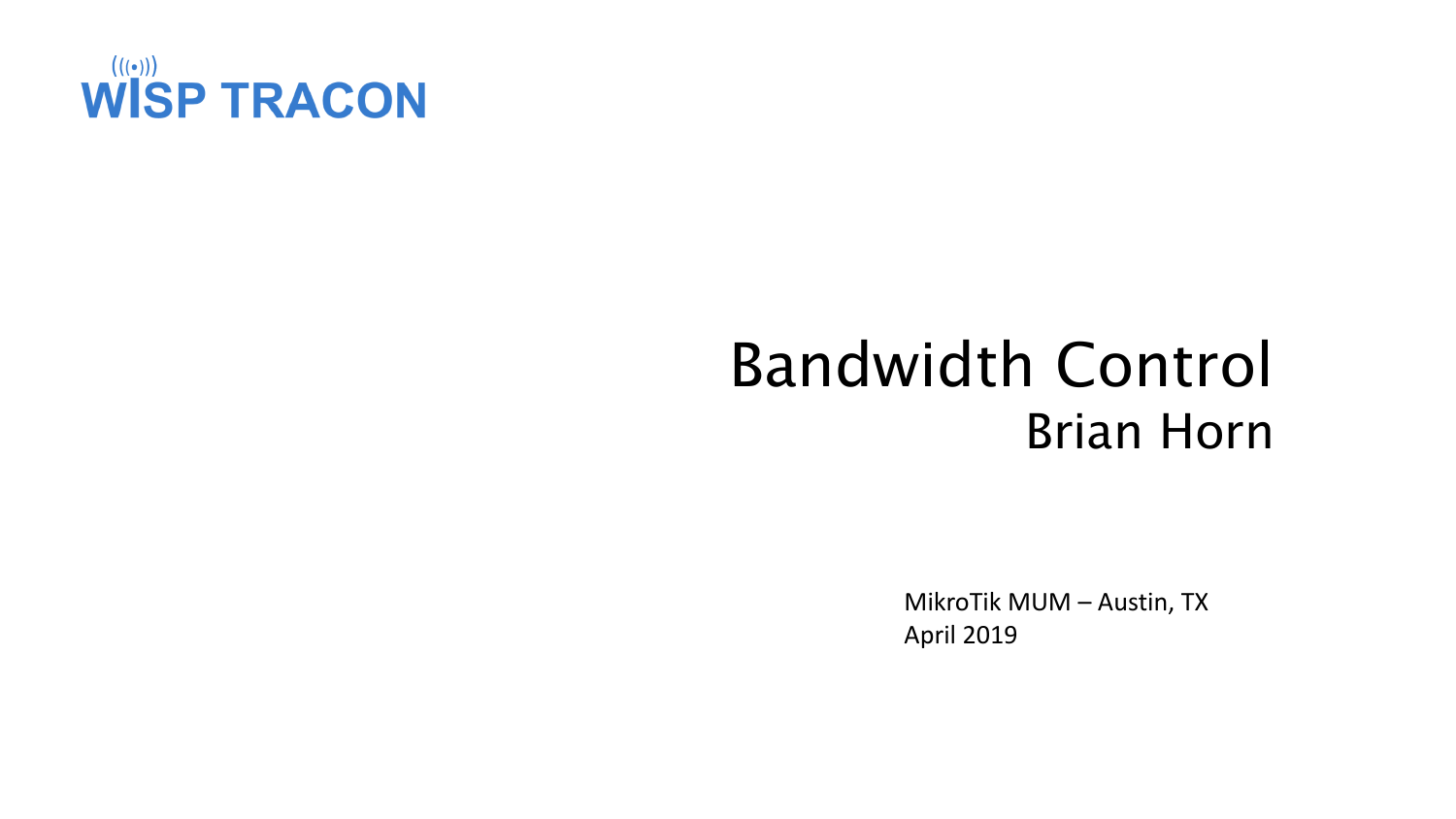

### Bandwidth Control Brian Horn

MikroTik MUM – Austin, TX April 2019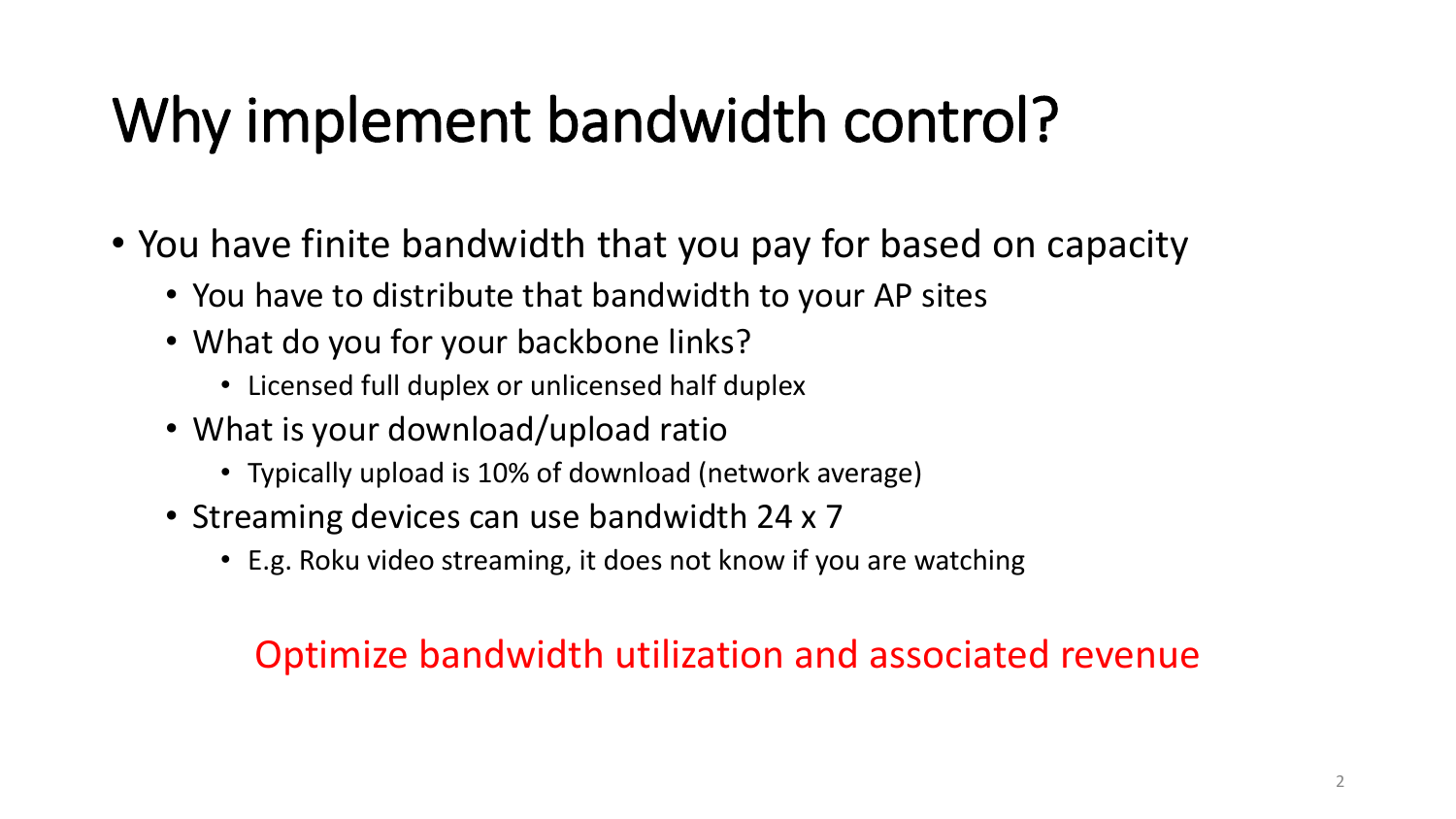### Why implement bandwidth control?

- You have finite bandwidth that you pay for based on capacity
	- You have to distribute that bandwidth to your AP sites
	- What do you for your backbone links?
		- Licensed full duplex or unlicensed half duplex
	- What is your download/upload ratio
		- Typically upload is 10% of download (network average)
	- Streaming devices can use bandwidth 24 x 7
		- E.g. Roku video streaming, it does not know if you are watching

#### Optimize bandwidth utilization and associated revenue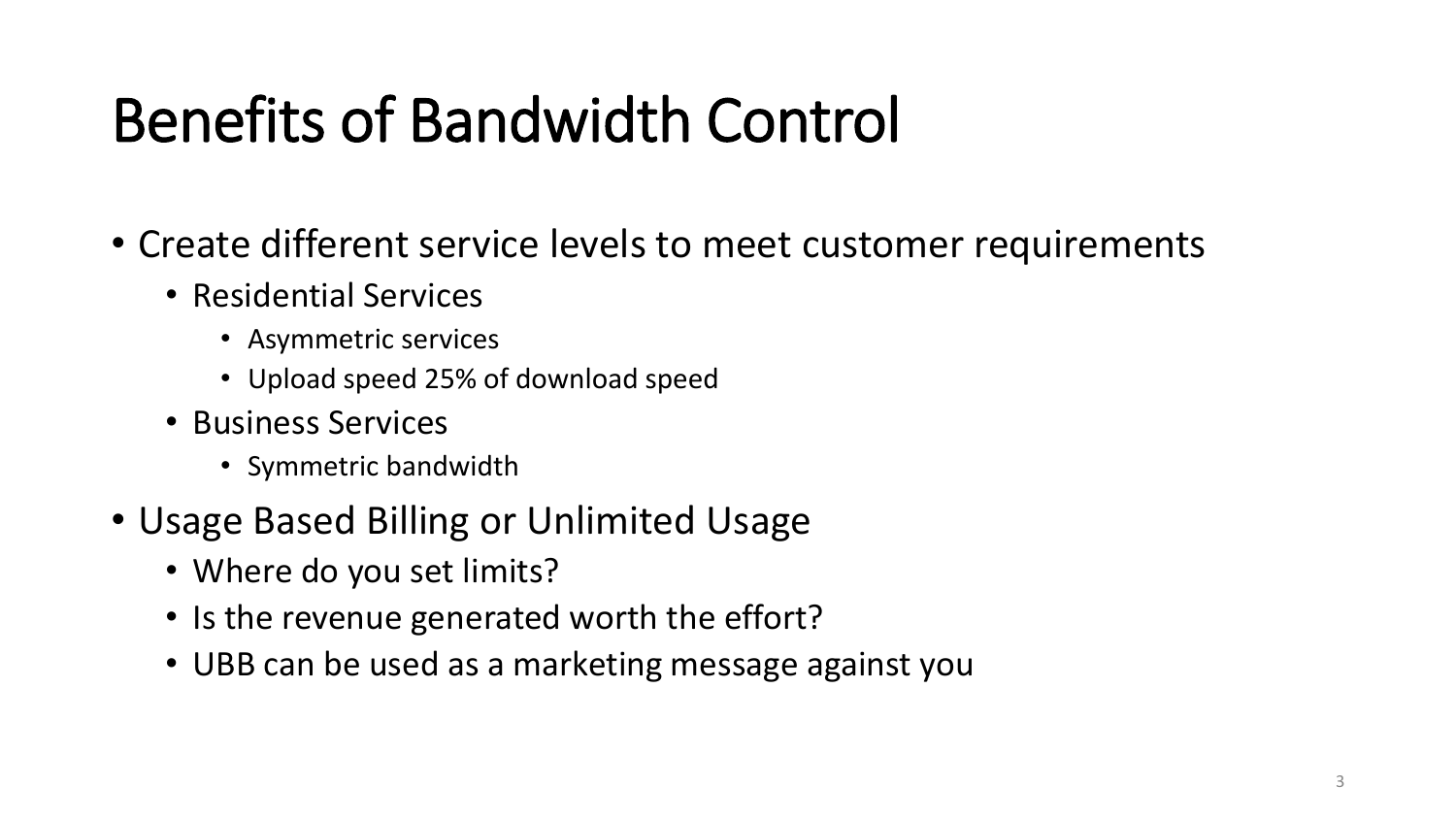### Benefits of Bandwidth Control

- Create different service levels to meet customer requirements
	- Residential Services
		- Asymmetric services
		- Upload speed 25% of download speed
	- Business Services
		- Symmetric bandwidth
- Usage Based Billing or Unlimited Usage
	- Where do you set limits?
	- Is the revenue generated worth the effort?
	- UBB can be used as a marketing message against you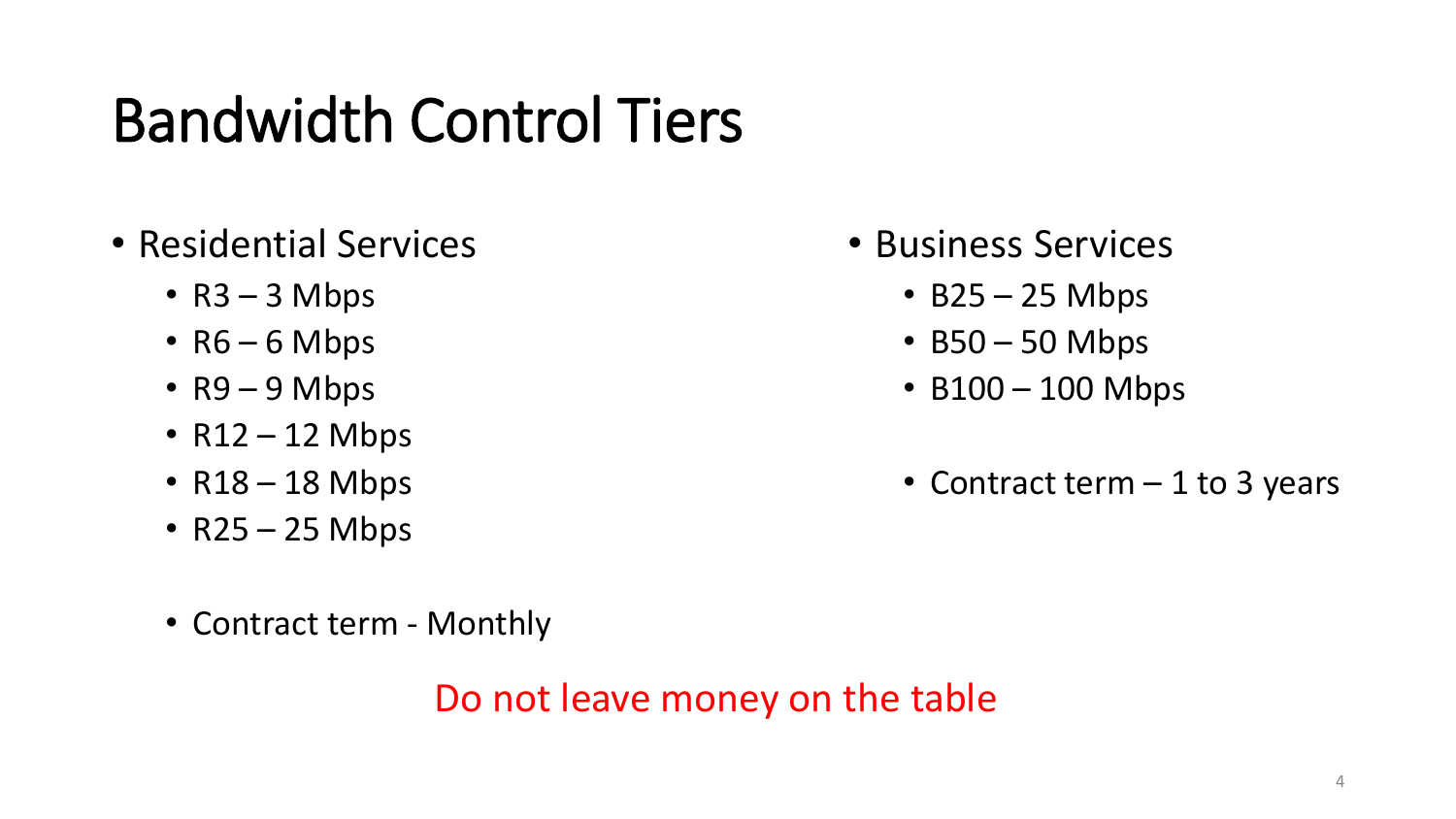### Bandwidth Control Tiers

- Residential Services
	- $R3 3$  Mbps
	- $R6 6$  Mbps
	- R9 9 Mbps
	- $R12 12$  Mbps
	- $R18 18$  Mbps
	- R25 25 Mbps
	- Contract term Monthly

Do not leave money on the table

- Business Services
	- $\cdot$  B25 25 Mbps
	- $\cdot$  B50 50 Mbps
	- B100 100 Mbps
	- Contract term 1 to 3 years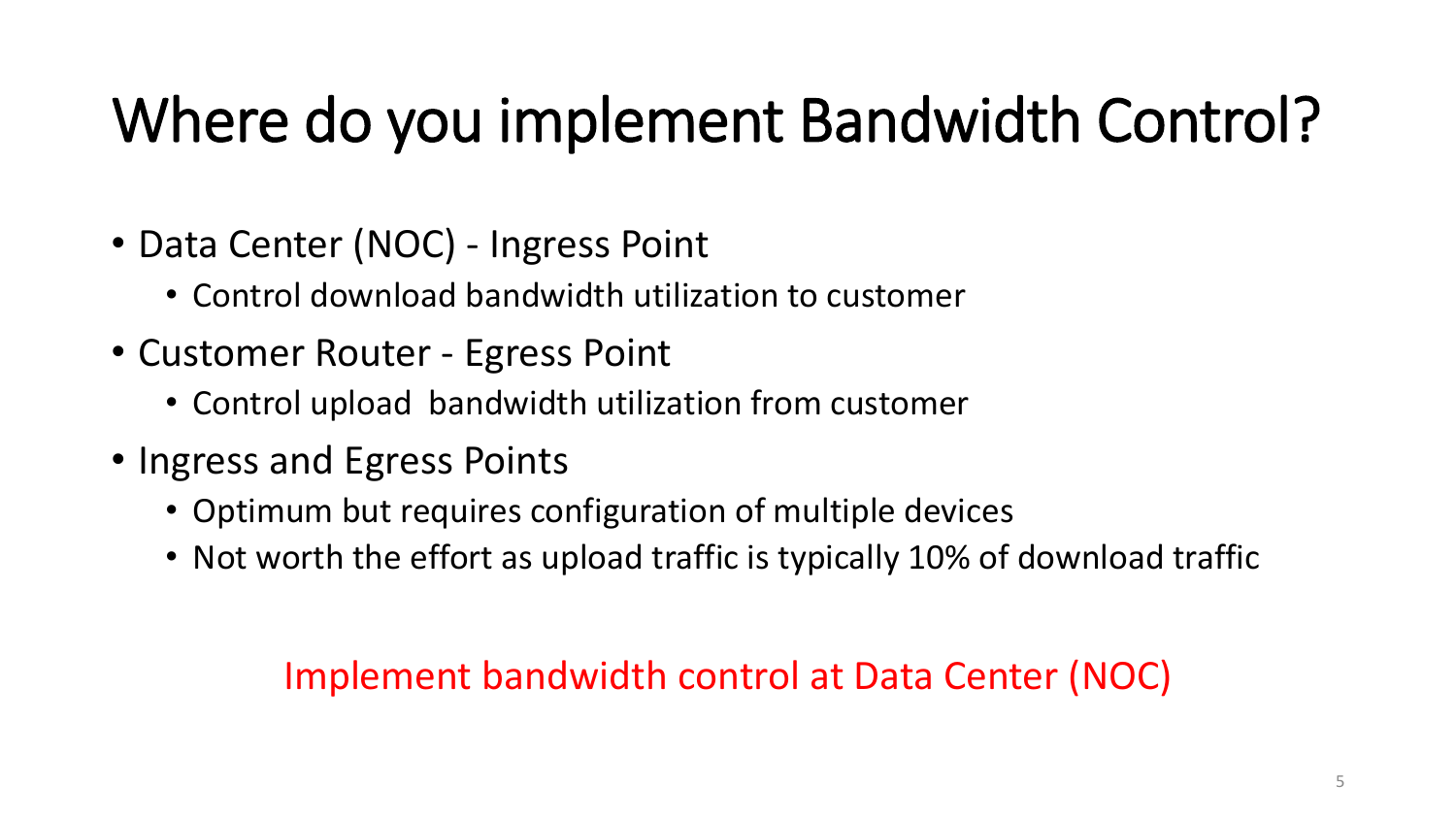## Where do you implement Bandwidth Control?

- Data Center (NOC) Ingress Point
	- Control download bandwidth utilization to customer
- Customer Router Egress Point
	- Control upload bandwidth utilization from customer
- Ingress and Egress Points
	- Optimum but requires configuration of multiple devices
	- Not worth the effort as upload traffic is typically 10% of download traffic

### Implement bandwidth control at Data Center (NOC)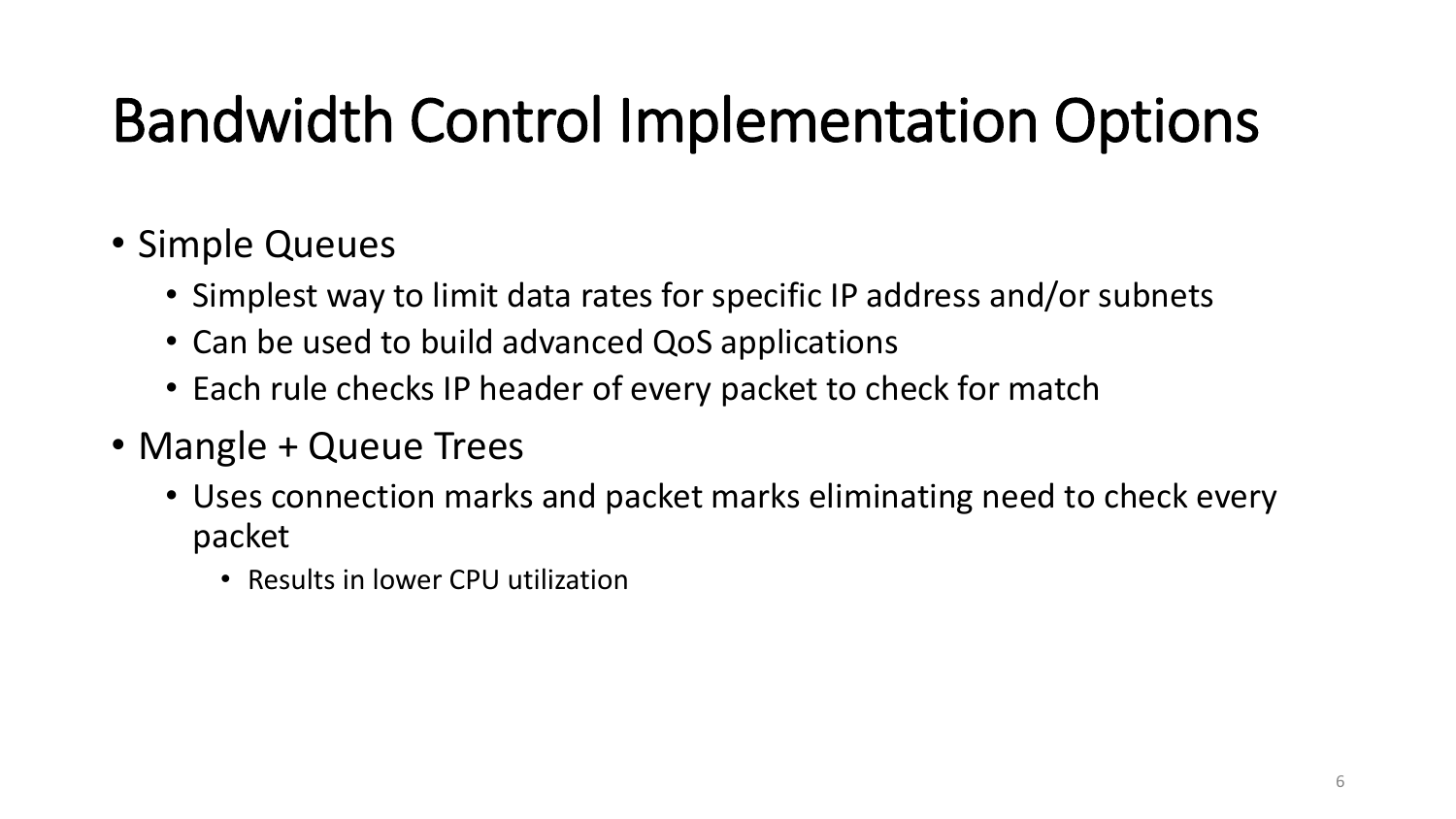### Bandwidth Control Implementation Options

### • Simple Queues

- Simplest way to limit data rates for specific IP address and/or subnets
- Can be used to build advanced QoS applications
- Each rule checks IP header of every packet to check for match
- Mangle + Queue Trees
	- Uses connection marks and packet marks eliminating need to check every packet
		- Results in lower CPU utilization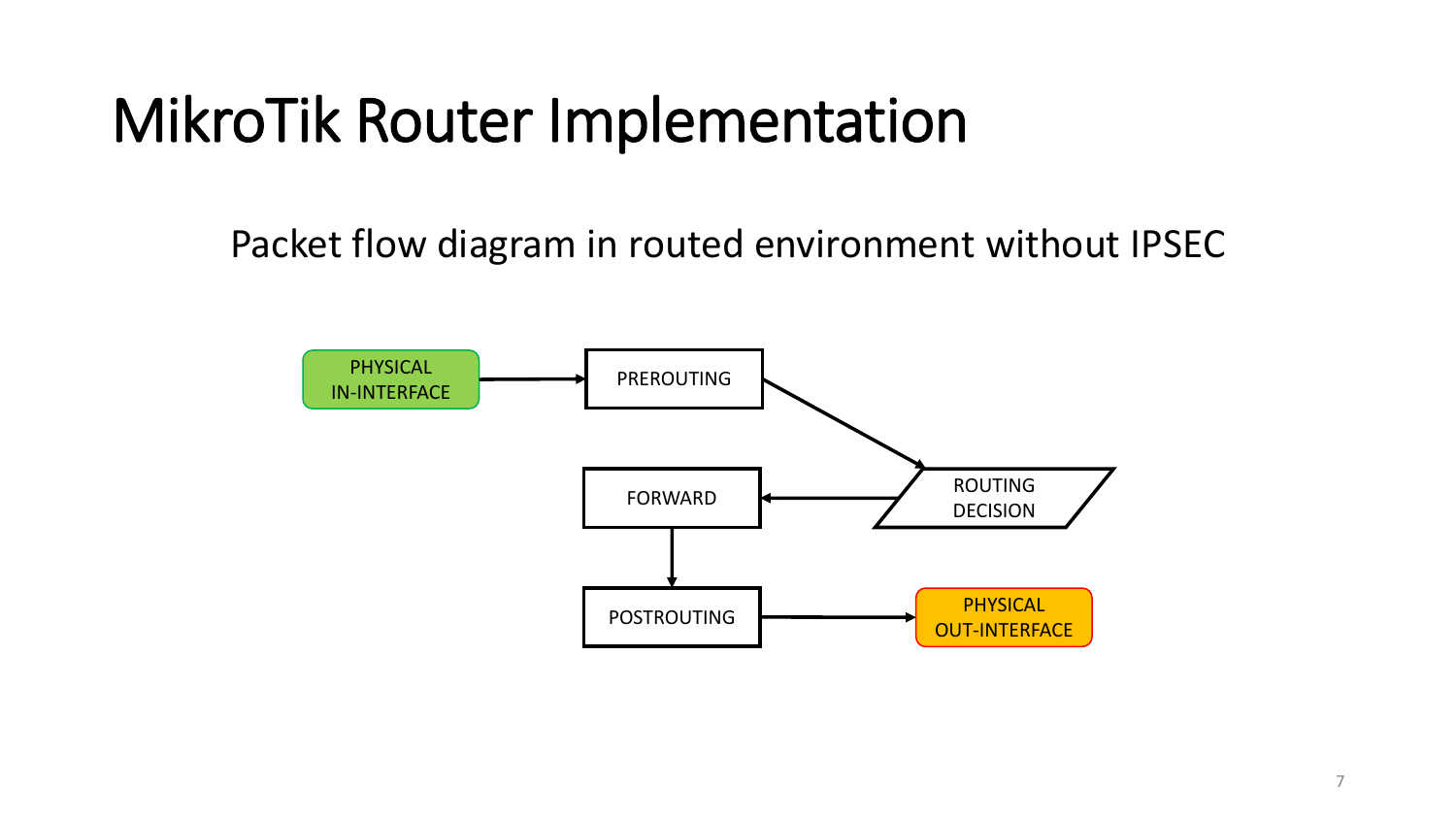### MikroTik Router Implementation

Packet flow diagram in routed environment without IPSEC

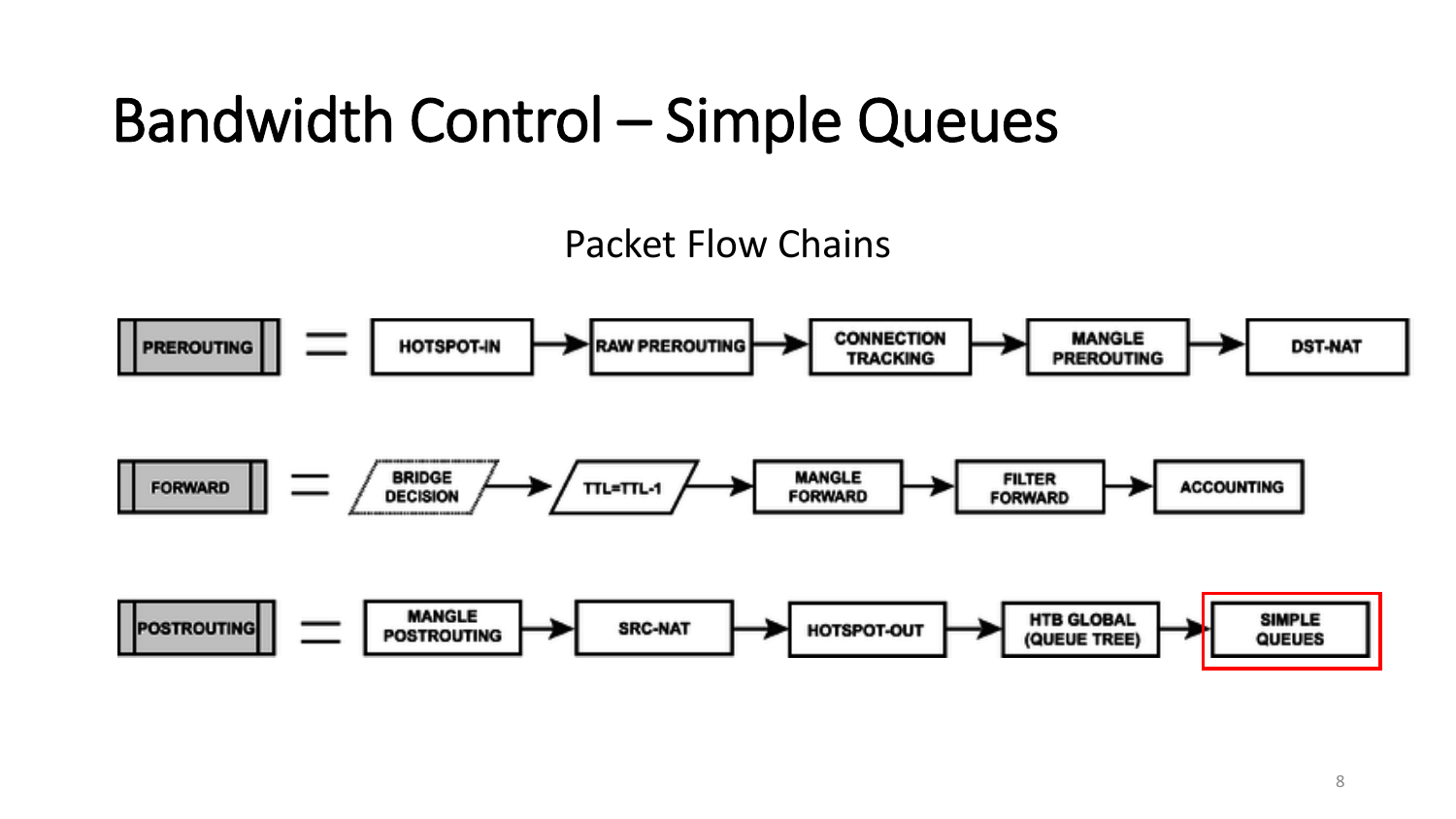### Bandwidth Control – Simple Queues

#### Packet Flow Chains

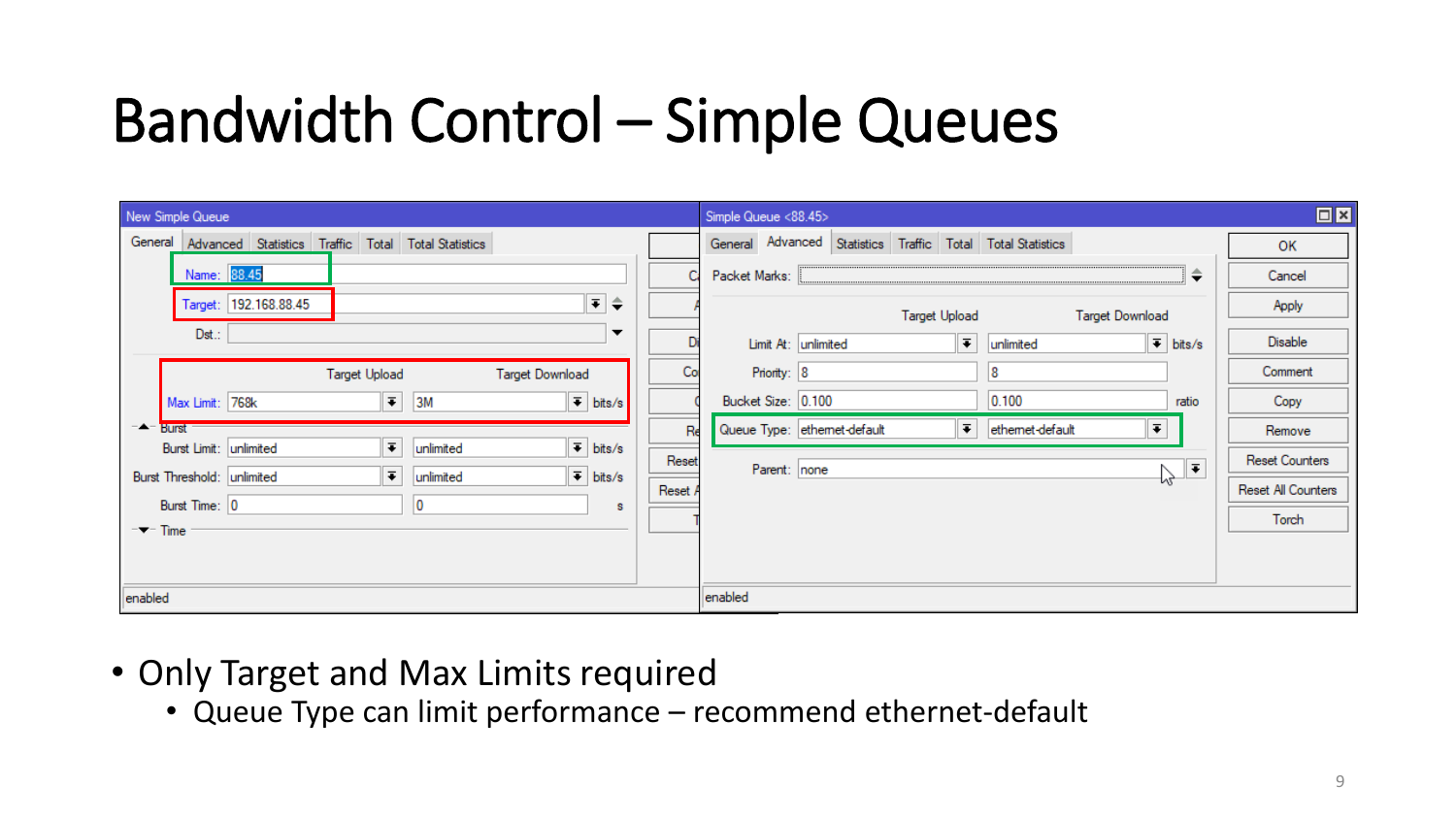### Bandwidth Control – Simple Queues

| New Simple Queue                                                                                    |       | $\Box$ x<br>Simple Queue <88.45>                                                                              |
|-----------------------------------------------------------------------------------------------------|-------|---------------------------------------------------------------------------------------------------------------|
| General Advanced Statistics Traffic Total Total Statistics                                          |       | General Advanced Statistics Traffic Total Total Statistics<br>OK                                              |
| Name: 88.45                                                                                         |       | ≑<br>Packet Marks:<br>Cancel                                                                                  |
| ∓ ≑<br>Target: 192.168.88.45                                                                        |       | Apply<br><b>Target Upload</b><br><b>Target Download</b>                                                       |
| Dst.:<br>▼                                                                                          |       | $\overline{\bullet}$ bits/s<br>Disable<br>$\vert \bar{\cdot} \vert$<br>Limit At: unlimited<br>unlimited       |
| <b>Target Upload</b><br><b>Target Download</b>                                                      | Co    | Priority: 8<br>Comment<br>8                                                                                   |
| $\overline{\bullet}$ 3M<br>$\overline{\bullet}$ bits/s<br>Max Limit: 768k                           |       | Bucket Size: 0.100<br>0.100<br>ratio<br>Copy                                                                  |
| −▲− Burst                                                                                           | Re    | $\overline{\bullet}$<br>$\vert \bar{\cdot} \vert$<br>Queue Type: ethemet-default<br>ethemet-default<br>Remove |
| $\overline{\bullet}$<br>$\overline{\bullet}$ bits/s<br>Burst Limit: unlimited<br>unlimited          | Reset | <b>Reset Counters</b><br>∣∓<br>Parent: none                                                                   |
| $\overline{\bullet}$ bits/s<br>$\vert \bar{\cdot} \vert$<br>Burst Threshold: unlimited<br>unlimited | Reset | Ÿ.<br>Reset All Counters                                                                                      |
| Burst Time: 0<br>10<br>s<br>$-\blacktriangleright$ Time                                             |       | Torch                                                                                                         |
|                                                                                                     |       |                                                                                                               |
|                                                                                                     |       |                                                                                                               |
| enabled                                                                                             |       | enabled                                                                                                       |

- Only Target and Max Limits required
	- Queue Type can limit performance recommend ethernet-default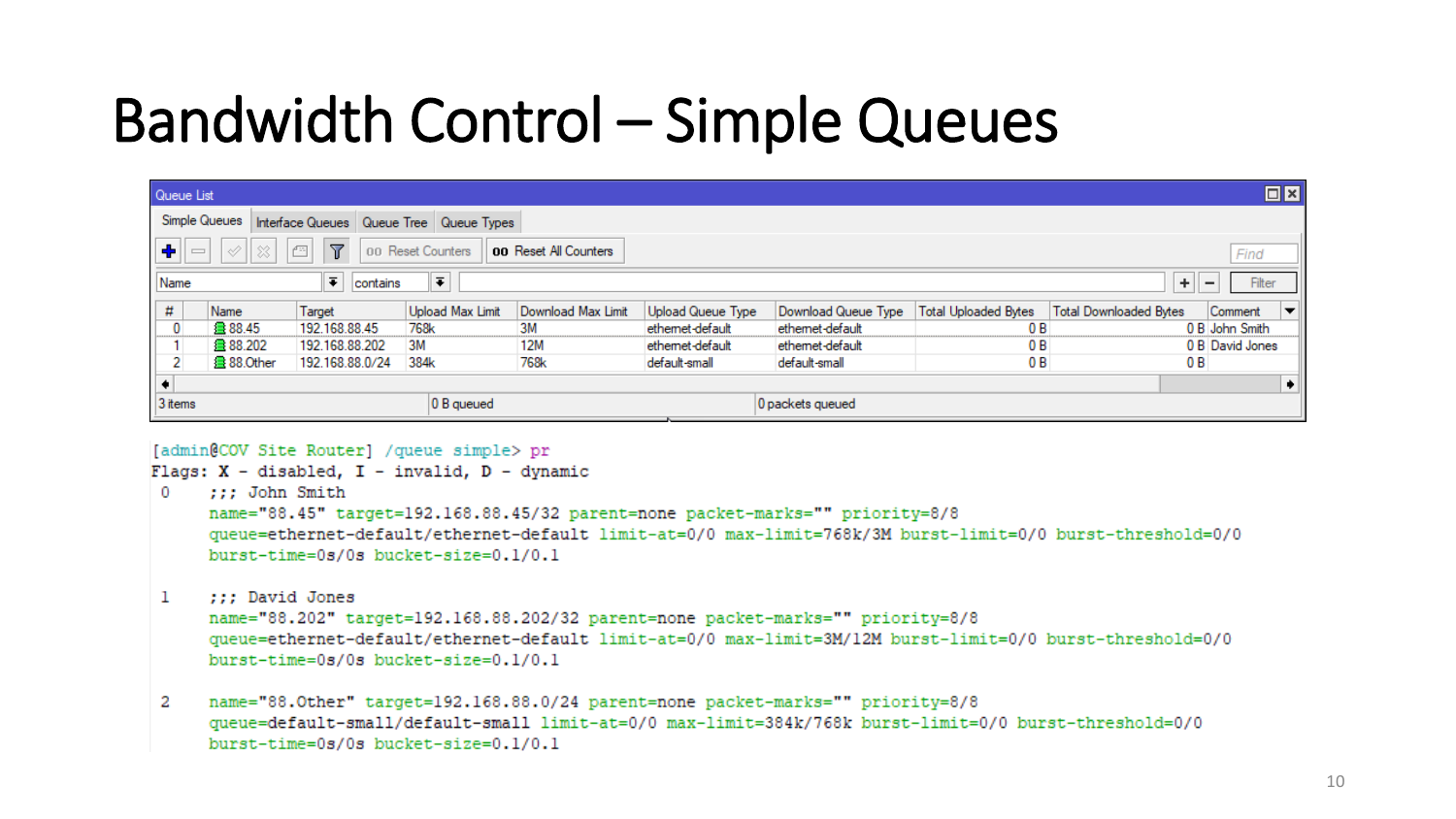### Bandwidth Control – Simple Queues

| $\Box$ x<br>Queue List |                                                                                                                                                      |                 |                  |                    |                   |                     |                             |                               |                 |  |
|------------------------|------------------------------------------------------------------------------------------------------------------------------------------------------|-----------------|------------------|--------------------|-------------------|---------------------|-----------------------------|-------------------------------|-----------------|--|
|                        | Simple Queues   Interface Queues   Queue Tree   Queue Types                                                                                          |                 |                  |                    |                   |                     |                             |                               |                 |  |
| ÷                      | $\boxed{c}$<br>$\mathbb{Z}$<br>$\left\Vert \mathcal{Q}\right\Vert \otimes$ $\left\Vert$<br>$=$<br>00 Reset Counters<br>00 Reset All Counters<br>Find |                 |                  |                    |                   |                     |                             |                               |                 |  |
| Name                   | $\overline{\ast}$<br>$\overline{\bullet}$<br>$\pm$<br>Filter<br>contains<br>$\overline{\phantom{0}}$                                                 |                 |                  |                    |                   |                     |                             |                               |                 |  |
| #                      | Name                                                                                                                                                 | Target          | Upload Max Limit | Download Max Limit | Upload Queue Type | Download Queue Type | <b>Total Uploaded Bytes</b> | <b>Total Downloaded Bytes</b> | Comment<br>▾    |  |
| $\mathbf{0}$           | 曡 88.45                                                                                                                                              | 192.168.88.45   | 768k             | 3M                 | ethemet-default   | ethemet-default     | 0 B                         |                               | 0 B John Smith  |  |
|                        | 曡 88.202                                                                                                                                             | 192.168.88.202  | 3M               | 12M                | ethemet-default   | ethemet-default     | 0 B                         |                               | 0 B David Jones |  |
| $\overline{2}$         | 叠 88.Other                                                                                                                                           | 192.168.88.0/24 | 384k             | 768k               | default-small     | default-small       | 0B                          | 0 B                           |                 |  |
|                        |                                                                                                                                                      |                 |                  |                    |                   |                     |                             |                               |                 |  |
| 3 items                |                                                                                                                                                      |                 | 0 B queued       |                    |                   | 0 packets queued    |                             |                               |                 |  |

#### [admin@COV Site Router] / queue simple> pr

#### Flags: X - disabled, I - invalid, D - dynamic  $0$  ::: John Smith name="88.45" target=192.168.88.45/32 parent=none packet-marks="" priority=8/8 queue=ethernet-default/ethernet-default limit-at=0/0 max-limit=768k/3M burst-limit=0/0 burst-threshold=0/0 burst-time=0s/0s bucket-size=0.1/0.1

 $\mathbf{1}$ ::: David Jones

> name="88.202" target=192.168.88.202/32 parent=none packet-marks="" priority=8/8 queue=ethernet-default/ethernet-default limit-at=0/0 max-limit=3M/12M burst-limit=0/0 burst-threshold=0/0 burst-time=0s/0s bucket-size=0.1/0.1

2 name="88.0ther" target=192.168.88.0/24 parent=none packet-marks="" priority=8/8 queue=default-small/default-small\_limit-at=0/0\_max-limit=384k/768k\_burst-limit=0/0\_burst-threshold=0/0 burst-time=0s/0s bucket-size=0.1/0.1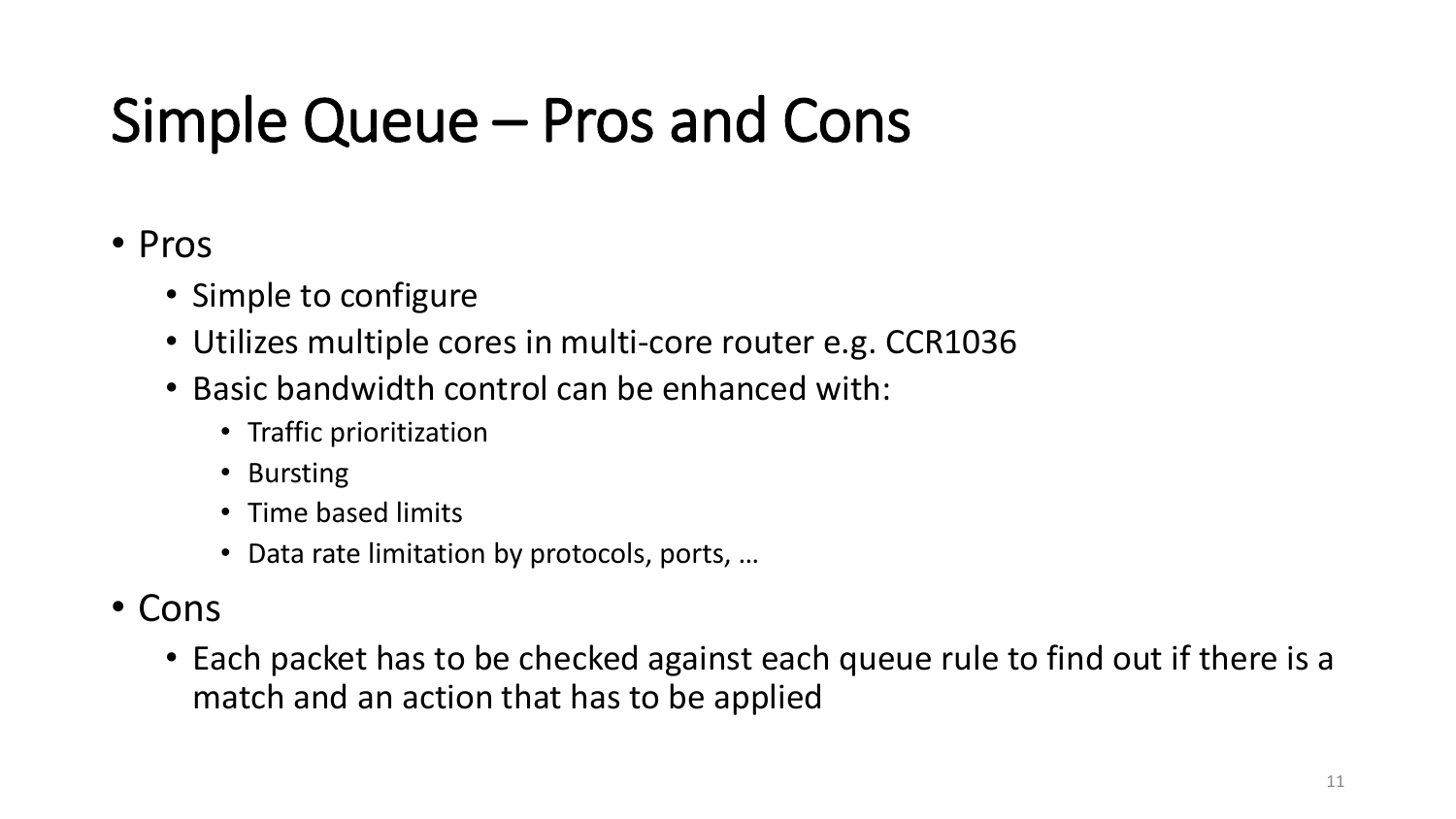### Simple Queue – Pros and Cons

#### • Pros

- Simple to configure
- Utilizes multiple cores in multi-core router e.g. CCR1036
- Basic bandwidth control can be enhanced with:
	- Traffic prioritization
	- Bursting
	- Time based limits
	- Data rate limitation by protocols, ports, …
- Cons
	- Each packet has to be checked against each queue rule to find out if there is a match and an action that has to be applied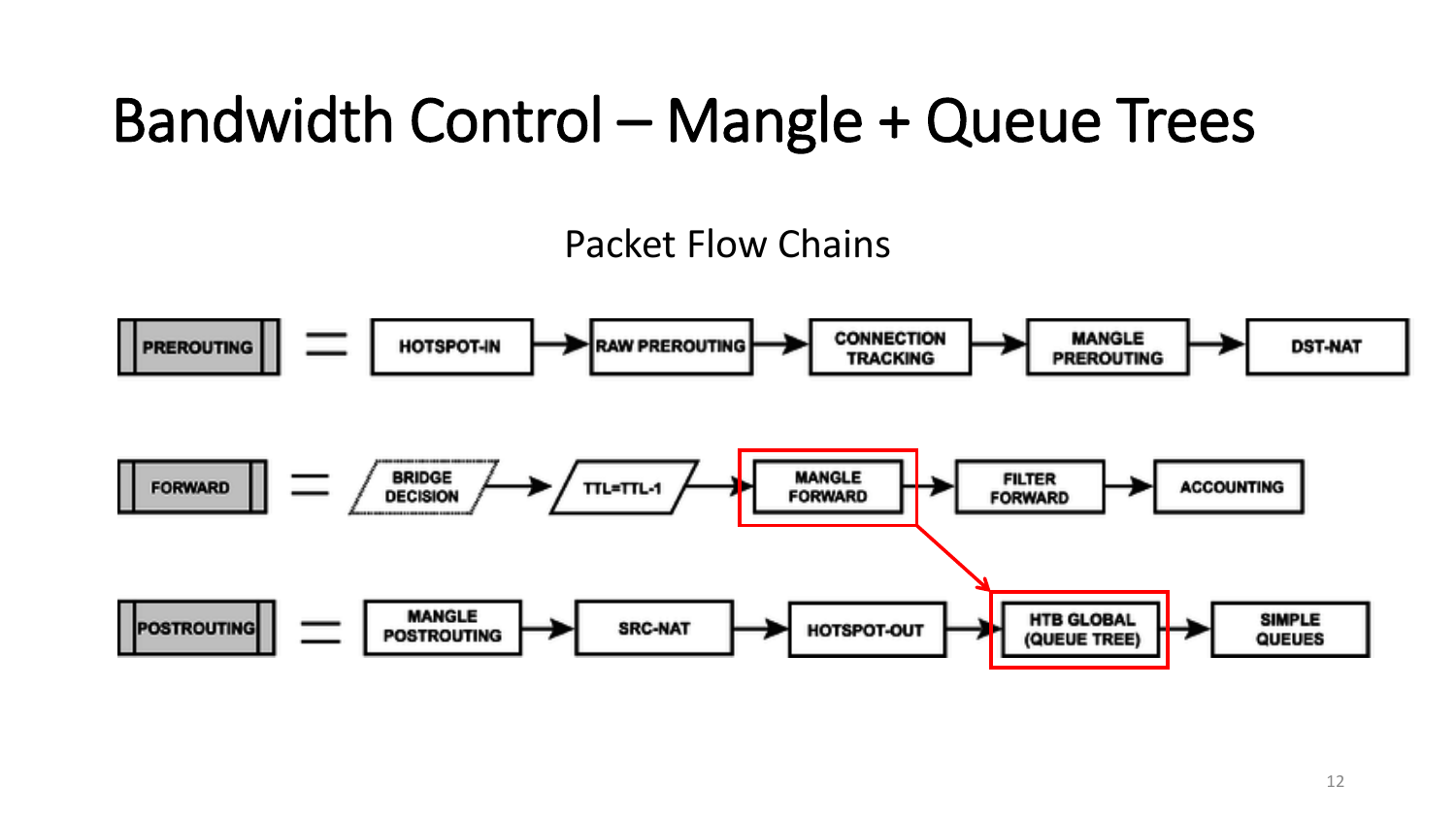### Bandwidth Control – Mangle + Queue Trees

#### Packet Flow Chains

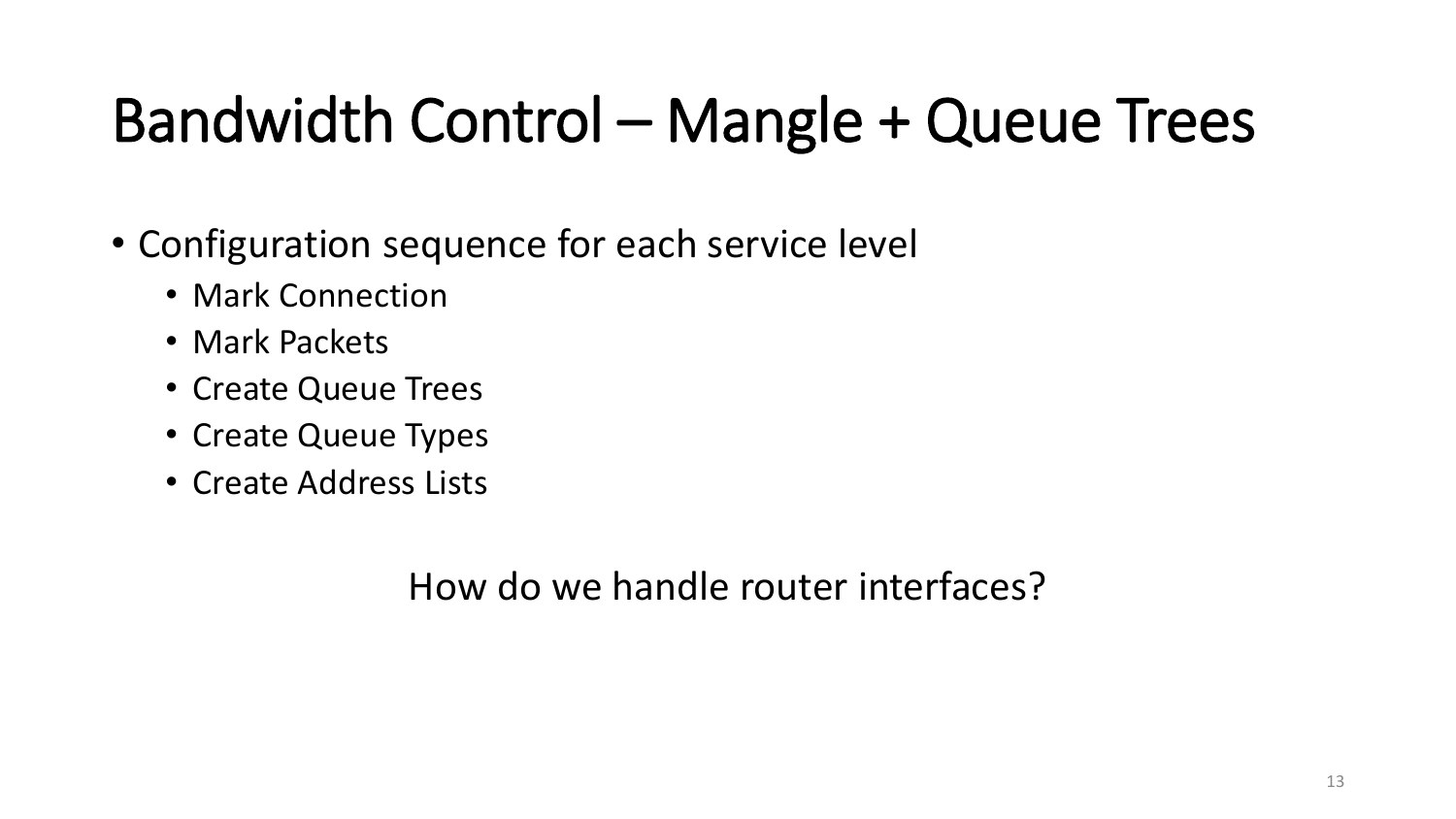### Bandwidth Control – Mangle + Queue Trees

- Configuration sequence for each service level
	- Mark Connection
	- Mark Packets
	- Create Queue Trees
	- Create Queue Types
	- Create Address Lists

How do we handle router interfaces?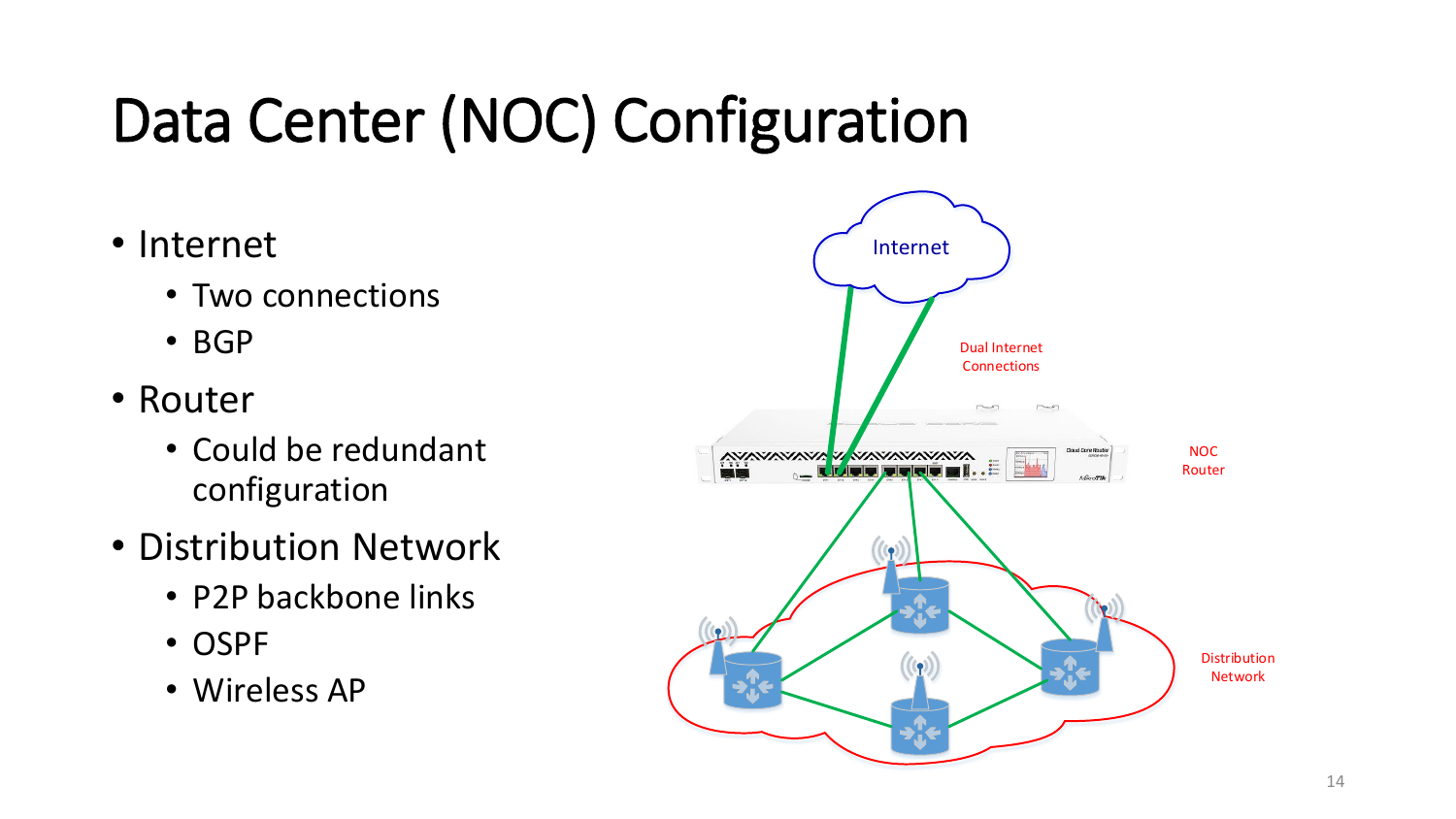# Data Center (NOC) Configuration

- Internet
	- Two connections
	- BGP
- Router
	- Could be redundant configuration
- Distribution Network
	- P2P backbone links
	- OSPF
	- Wireless AP

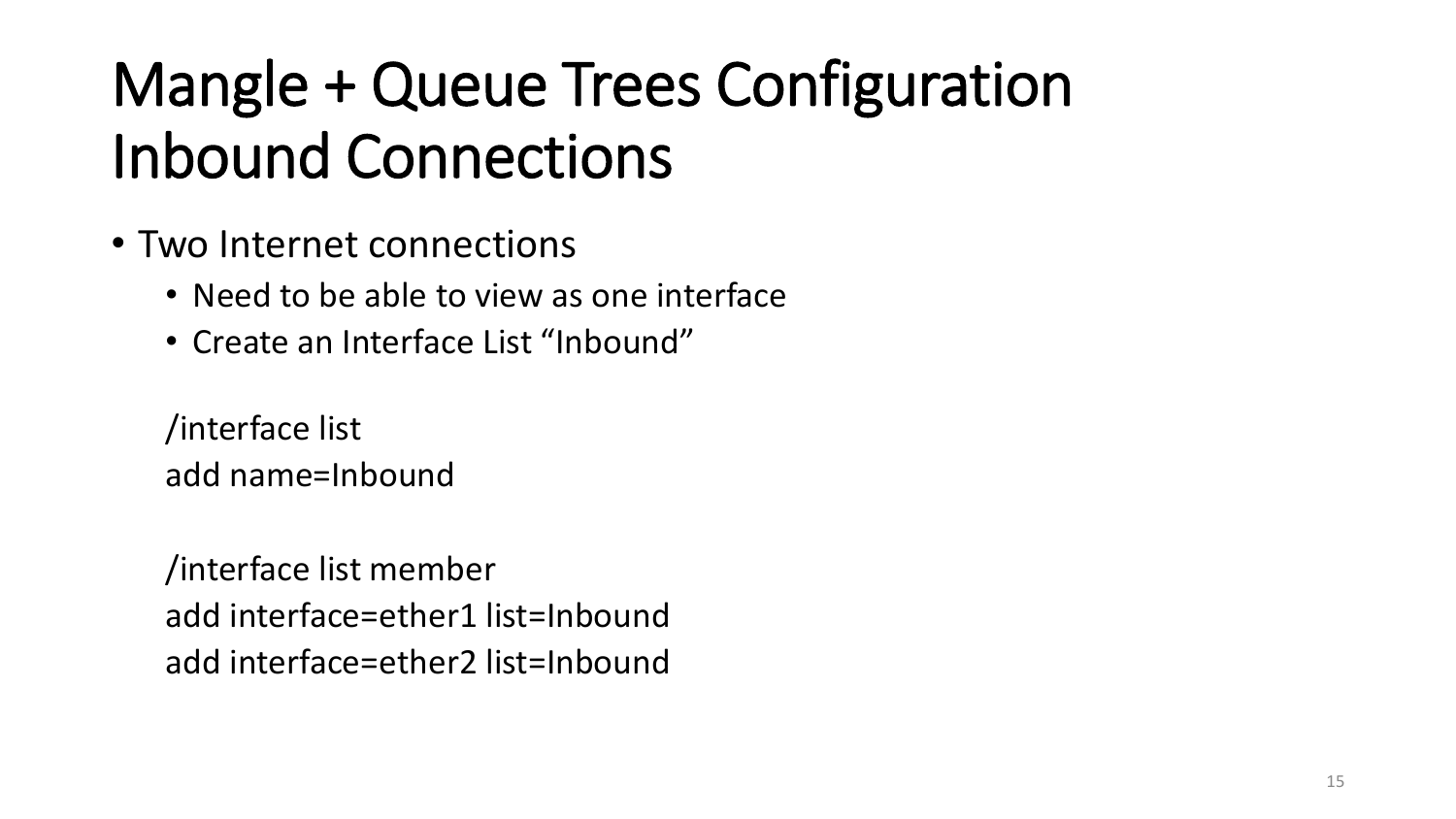### Mangle + Queue Trees Configuration Inbound Connections

- Two Internet connections
	- Need to be able to view as one interface
	- Create an Interface List "Inbound"

/interface list add name=Inbound

/interface list member add interface=ether1 list=Inbound add interface=ether2 list=Inbound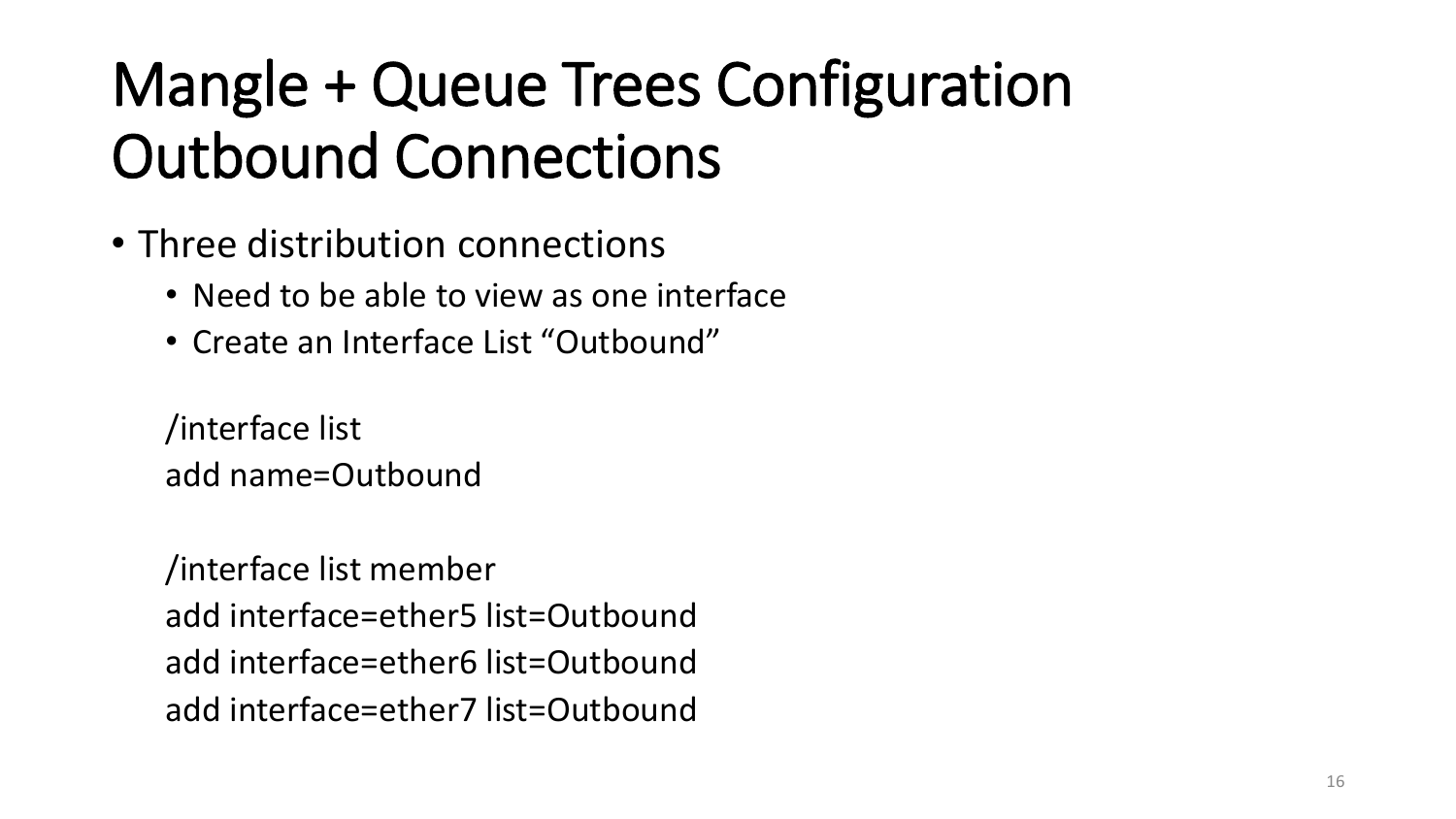### Mangle + Queue Trees Configuration Outbound Connections

- Three distribution connections
	- Need to be able to view as one interface
	- Create an Interface List "Outbound"

/interface list add name=Outbound

/interface list member add interface=ether5 list=Outbound add interface=ether6 list=Outbound add interface=ether7 list=Outbound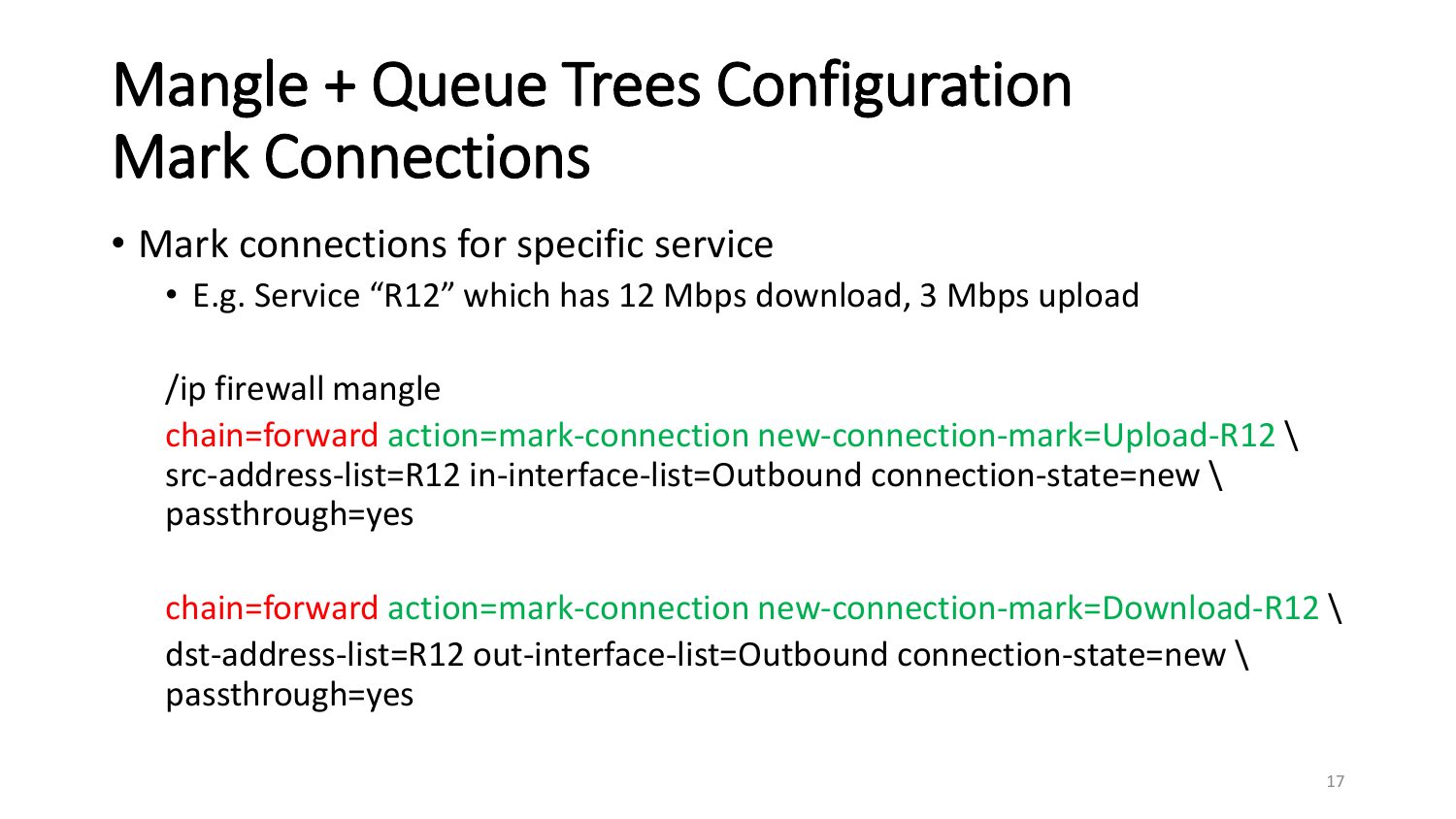### Mangle + Queue Trees Configuration Mark Connections

- Mark connections for specific service
	- E.g. Service "R12" which has 12 Mbps download, 3 Mbps upload

/ip firewall mangle chain=forward action=mark-connection new-connection-mark=Upload-R12 \ src-address-list=R12 in-interface-list=Outbound connection-state=new \ passthrough=yes

chain=forward action=mark-connection new-connection-mark=Download-R12 \ dst-address-list=R12 out-interface-list=Outbound connection-state=new \ passthrough=yes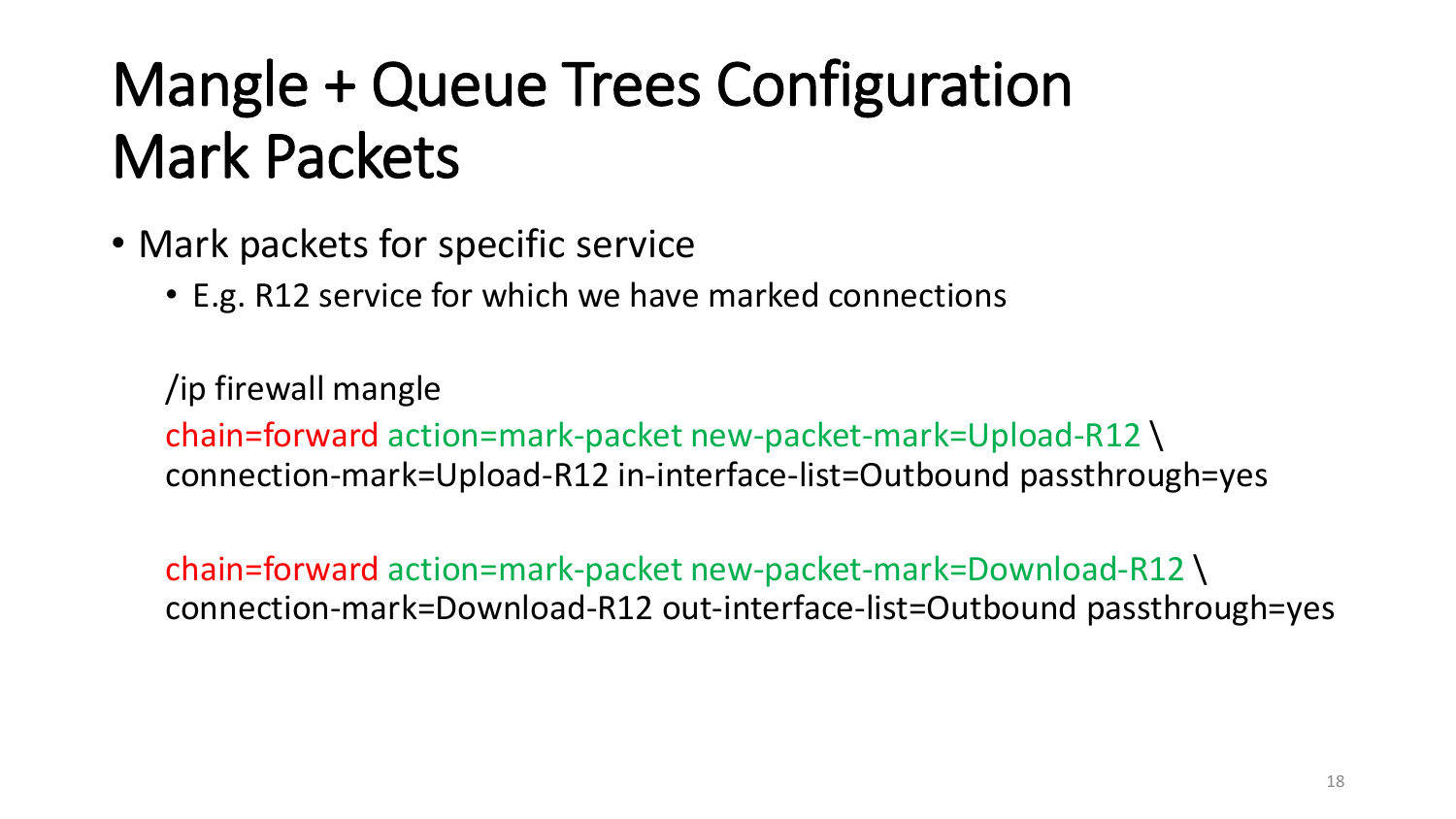### Mangle + Queue Trees Configuration Mark Packets

- Mark packets for specific service
	- E.g. R12 service for which we have marked connections

/ip firewall mangle chain=forward action=mark-packet new-packet-mark=Upload-R12 \ connection-mark=Upload-R12 in-interface-list=Outbound passthrough=yes

chain=forward action=mark-packet new-packet-mark=Download-R12 \ connection-mark=Download-R12 out-interface-list=Outbound passthrough=yes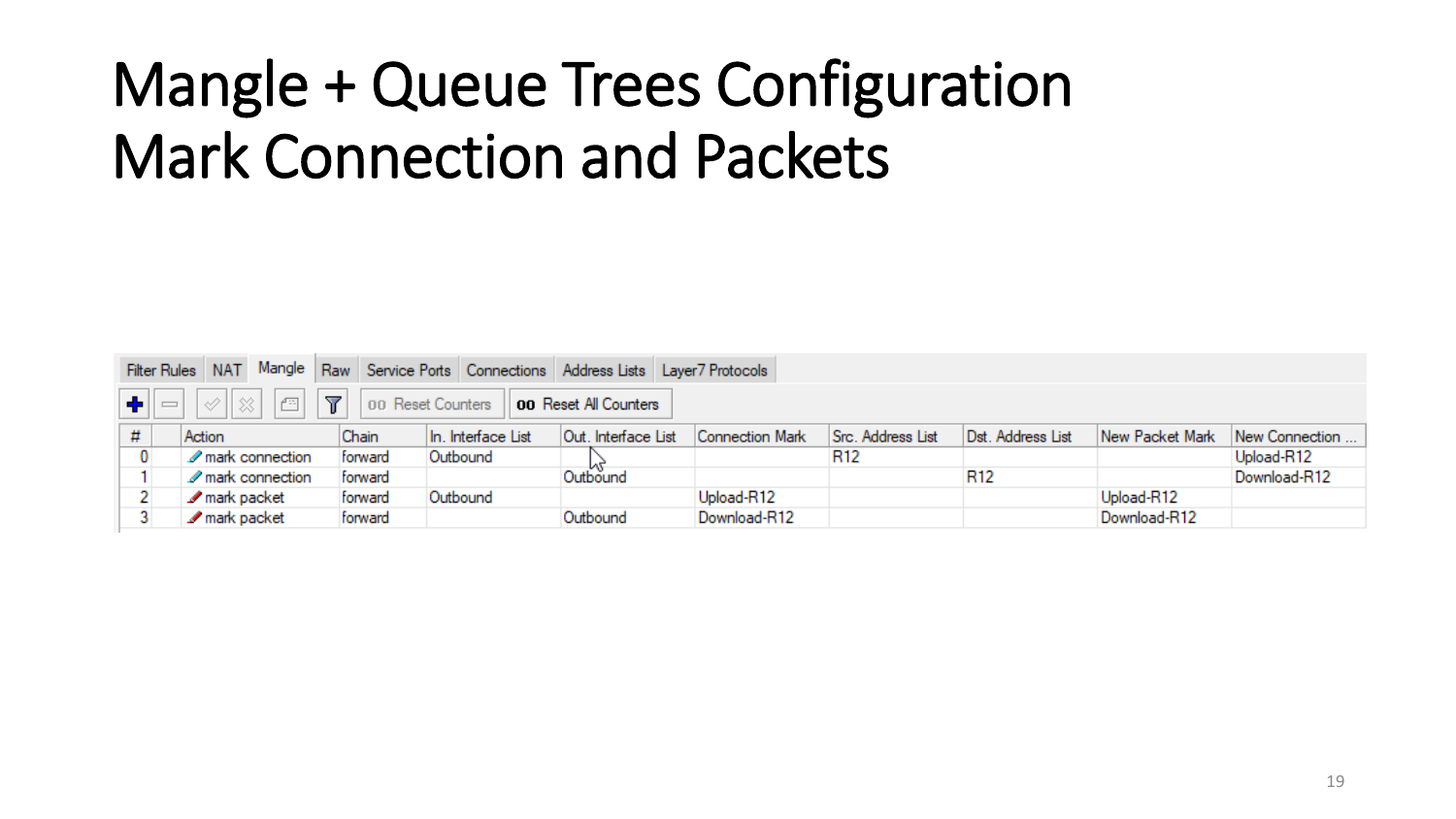### Mangle + Queue Trees Configuration Mark Connection and Packets

| Filter Rules NAT Mangle Raw Service Ports Connections Address Lists Layer7 Protocols                                                                      |                                   |         |                    |                     |                 |                   |                   |                 |                |
|-----------------------------------------------------------------------------------------------------------------------------------------------------------|-----------------------------------|---------|--------------------|---------------------|-----------------|-------------------|-------------------|-----------------|----------------|
| $\ \clubsuit\ $ $\!=$ $ \diamondsuit\ \otimes \parallel\textcircled{r} $ $ \blacktriangledown $ $ $ 00 Reset Counters $\parallel$ 00 Reset All Counters ( |                                   |         |                    |                     |                 |                   |                   |                 |                |
| #                                                                                                                                                         | Action                            | Chain   | In. Interface List | Out. Interface List | Connection Mark | Src. Address List | Dst. Address List | New Packet Mark | New Connection |
| 0                                                                                                                                                         | $\mathscr{P}$ mark connection     | forward | Outbound           |                     |                 | R <sub>12</sub>   |                   |                 | Upload-R12     |
|                                                                                                                                                           | $\mathscr{D}$ mark connection     | forward |                    | Outbound            |                 |                   | R <sub>12</sub>   |                 | Download-R12   |
|                                                                                                                                                           | $\blacktriangleright$ mark packet | forward | Outbound           |                     | Upload-R12      |                   |                   | Upload-R12      |                |
|                                                                                                                                                           | $\blacktriangleright$ mark packet | forward |                    | Outbound            | Download-R12    |                   |                   | Download-R12    |                |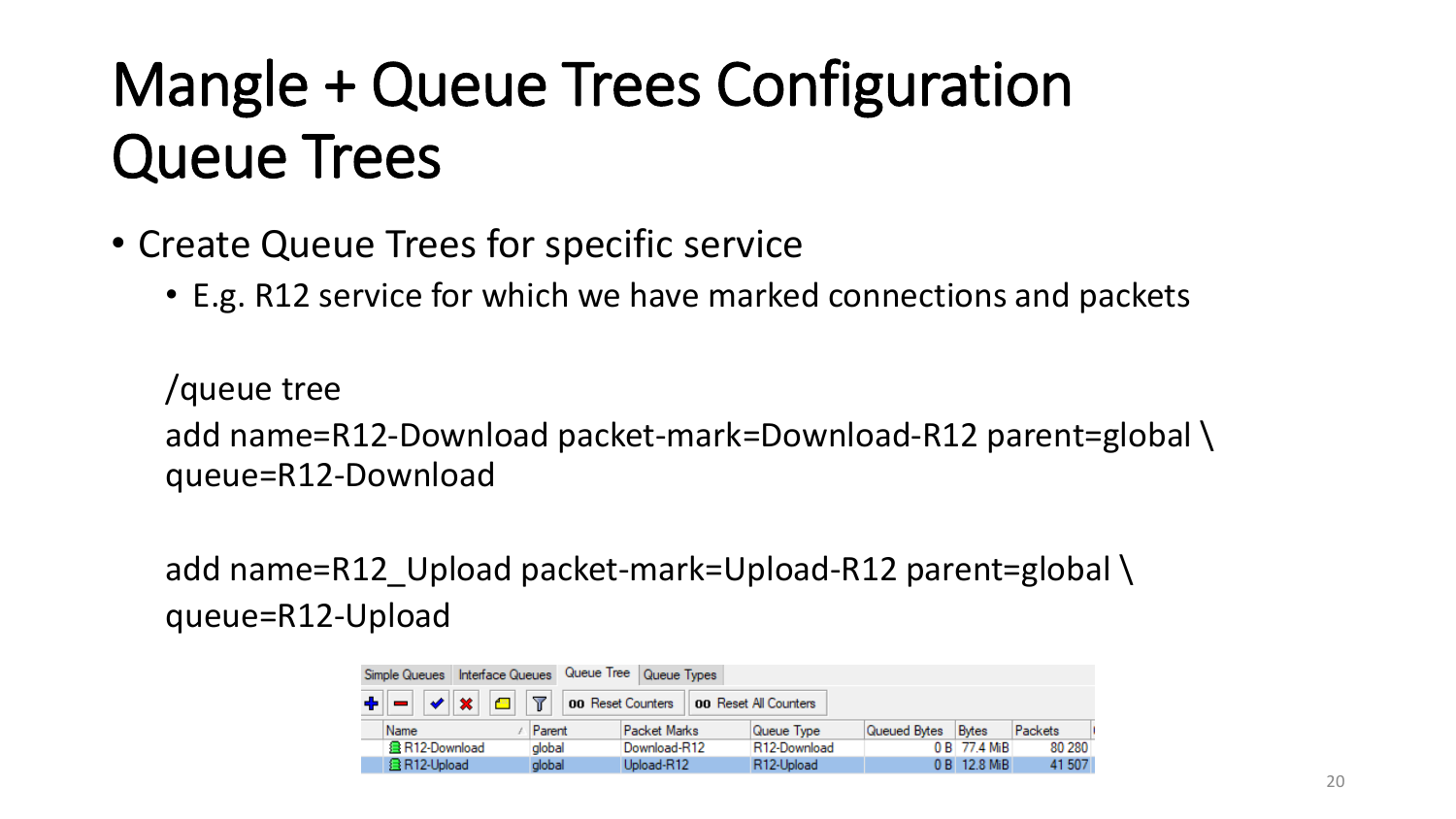### Mangle + Queue Trees Configuration Queue Trees

- Create Queue Trees for specific service
	- E.g. R12 service for which we have marked connections and packets

/queue tree add name=R12-Download packet-mark=Download-R12 parent=global \ queue=R12-Download

add name=R12 Upload packet-mark=Upload-R12 parent=global \ queue=R12-Upload

| Interface Queues<br>Simple Queues |                           |                | Queue Tree Queue Types |                         |              |              |         |
|-----------------------------------|---------------------------|----------------|------------------------|-------------------------|--------------|--------------|---------|
|                                   | $\vee$ $\mathbf{x}$<br>合計 | $\overline{r}$ | 00 Reset Counters      | OO Reset All Counters   |              |              |         |
|                                   | Name                      | Parent         | Packet Marks           | Queue Type              | Queued Bytes | Bytes        | Packets |
|                                   | 盘 R12-Download            | alobal         | Download-R12           | R12-Download            |              | 0 B 77.4 MiB | 80 280  |
|                                   | <b>昼R12-Upload</b>        | global         | Upload-R12             | R <sub>12</sub> -Upload |              | 0 B 12.8 MiB | 41 507  |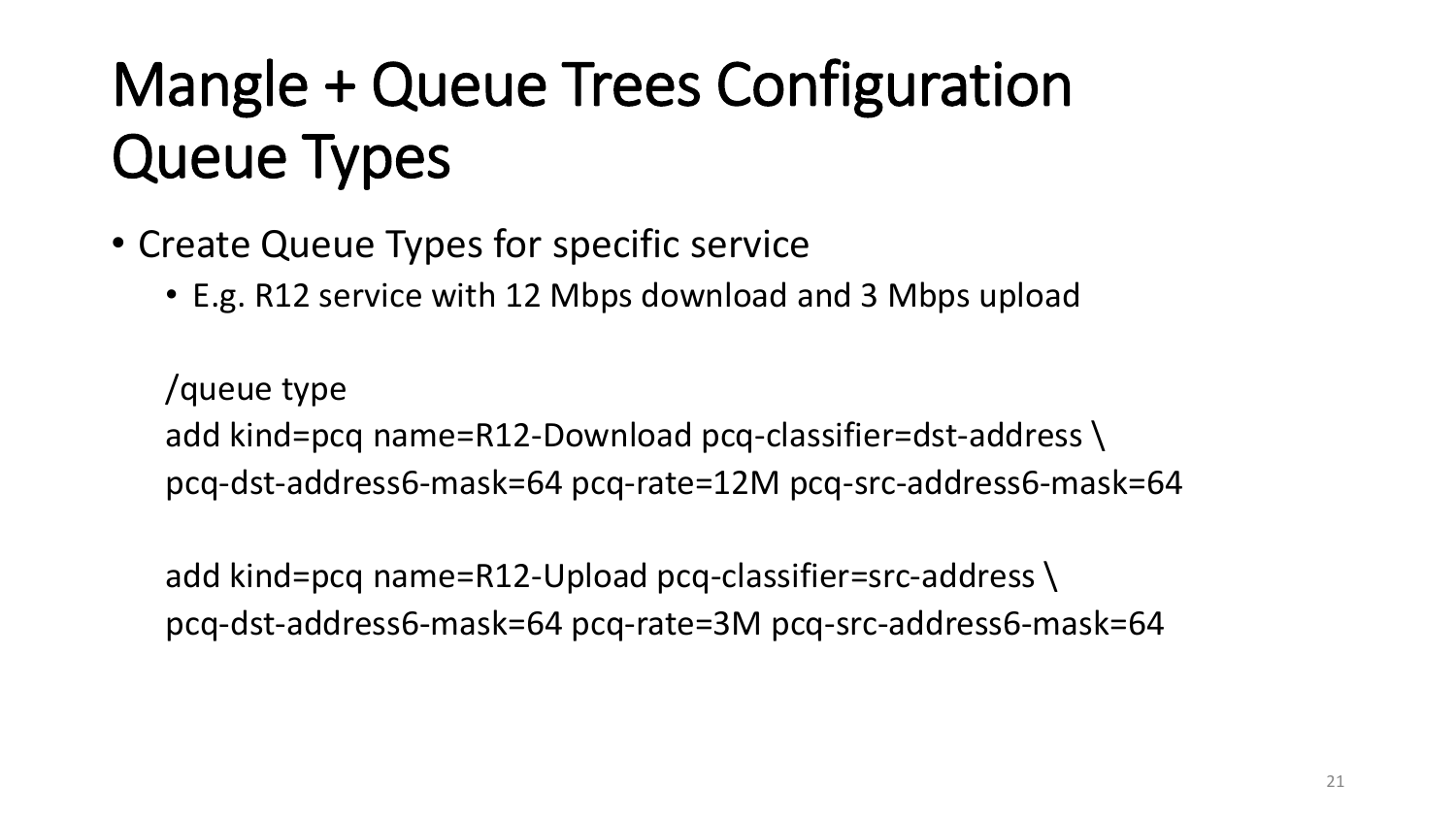## Mangle + Queue Trees Configuration Queue Types

- Create Queue Types for specific service
	- E.g. R12 service with 12 Mbps download and 3 Mbps upload

/queue type add kind=pcq name=R12-Download pcq-classifier=dst-address \ pcq-dst-address6-mask=64 pcq-rate=12M pcq-src-address6-mask=64

add kind=pcq name=R12-Upload pcq-classifier=src-address \ pcq-dst-address6-mask=64 pcq-rate=3M pcq-src-address6-mask=64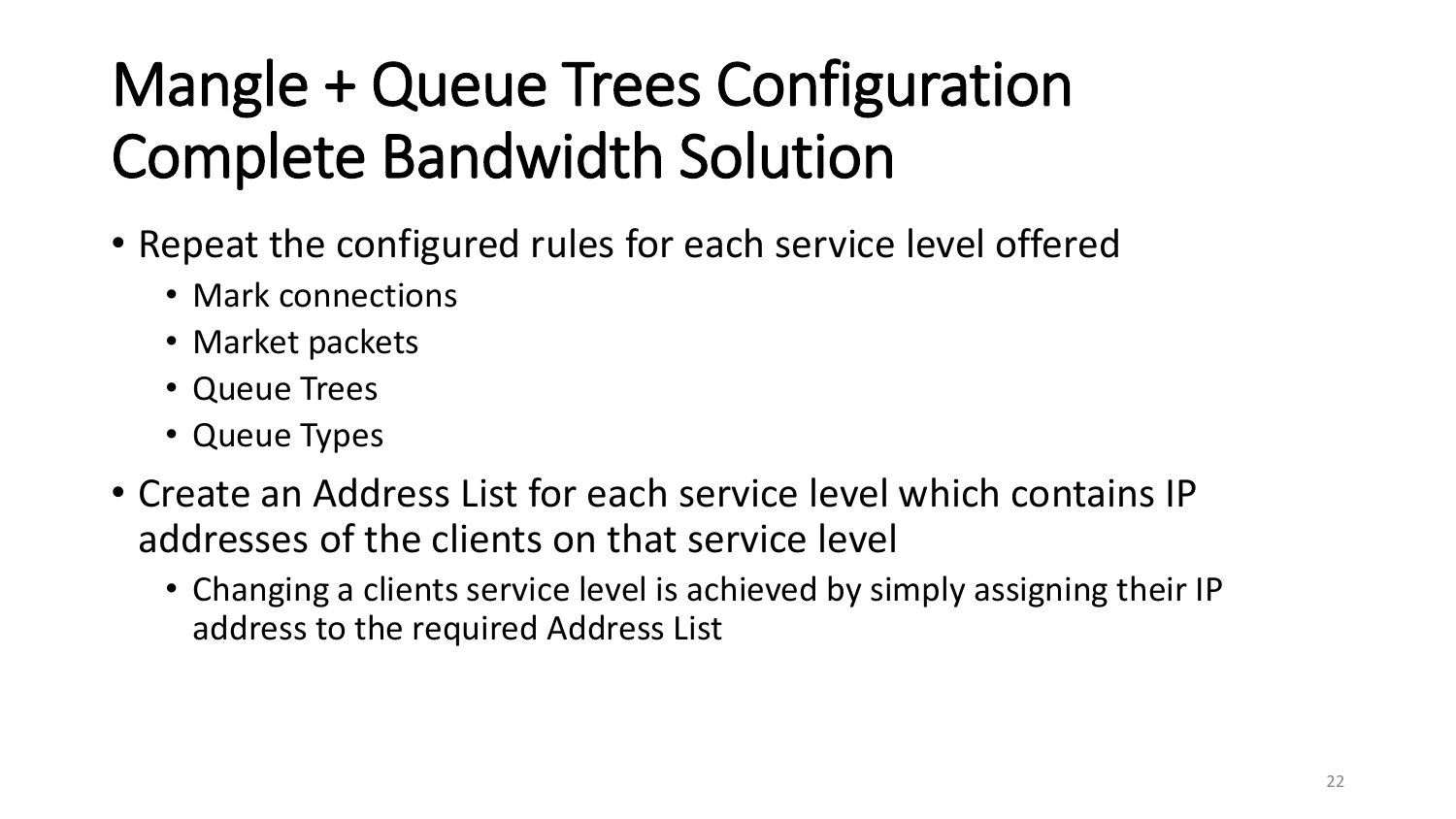# Mangle + Queue Trees Configuration Complete Bandwidth Solution

- Repeat the configured rules for each service level offered
	- Mark connections
	- Market packets
	- Queue Trees
	- Queue Types
- Create an Address List for each service level which contains IP addresses of the clients on that service level
	- Changing a clients service level is achieved by simply assigning their IP address to the required Address List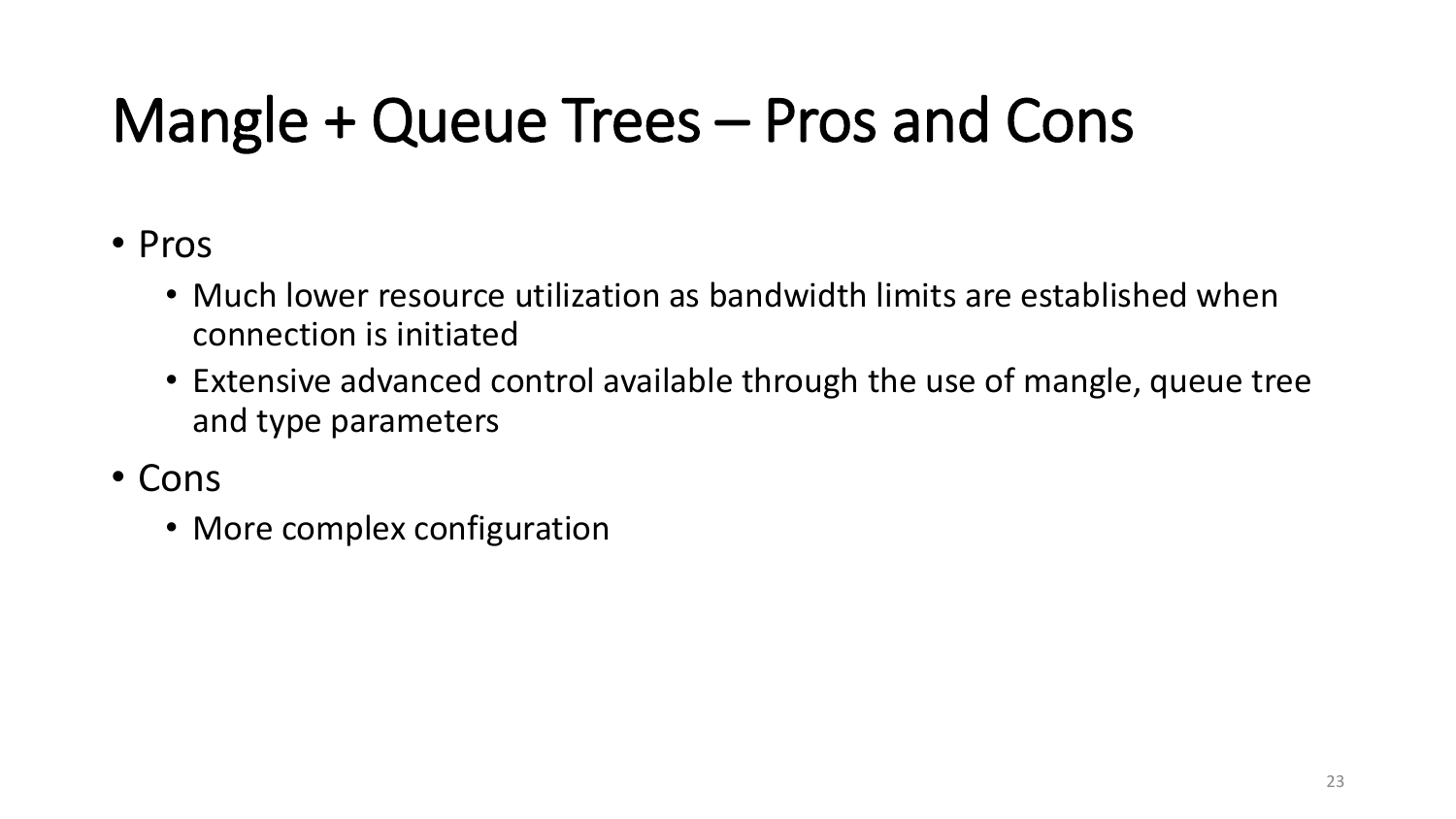### Mangle + Queue Trees – Pros and Cons

- Pros
	- Much lower resource utilization as bandwidth limits are established when connection is initiated
	- Extensive advanced control available through the use of mangle, queue tree and type parameters
- Cons
	- More complex configuration